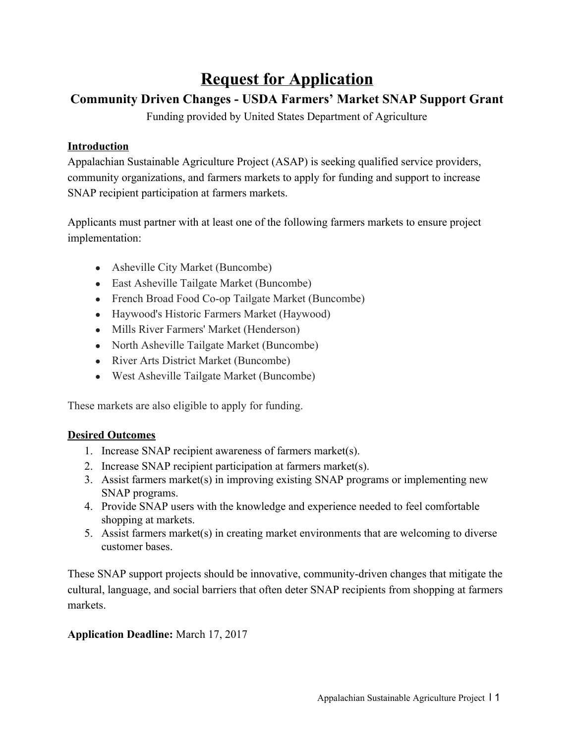# **Request for Application**

### **Community Driven Changes - USDA Farmers' Market SNAP Support Grant**

Funding provided by United States Department of Agriculture

### **Introduction**

Appalachian Sustainable Agriculture Project (ASAP) is seeking qualified service providers, community organizations, and farmers markets to apply for funding and support to increase SNAP recipient participation at farmers markets.

Applicants must partner with at least one of the following farmers markets to ensure project implementation:

- Asheville City Market (Buncombe)
- East Asheville Tailgate Market (Buncombe)
- French Broad Food Co-op Tailgate Market (Buncombe)
- Haywood's Historic Farmers Market (Haywood)
- Mills River Farmers' Market (Henderson)
- North Asheville Tailgate Market (Buncombe)
- River Arts District Market (Buncombe)
- West Asheville Tailgate Market (Buncombe)

These markets are also eligible to apply for funding.

#### **Desired Outcomes**

- 1. Increase SNAP recipient awareness of farmers market(s).
- 2. Increase SNAP recipient participation at farmers market(s).
- 3. Assist farmers market(s) in improving existing SNAP programs or implementing new SNAP programs.
- 4. Provide SNAP users with the knowledge and experience needed to feel comfortable shopping at markets.
- 5. Assist farmers market(s) in creating market environments that are welcoming to diverse customer bases.

These SNAP support projects should be innovative, community-driven changes that mitigate the cultural, language, and social barriers that often deter SNAP recipients from shopping at farmers markets.

### **Application Deadline:** March 17, 2017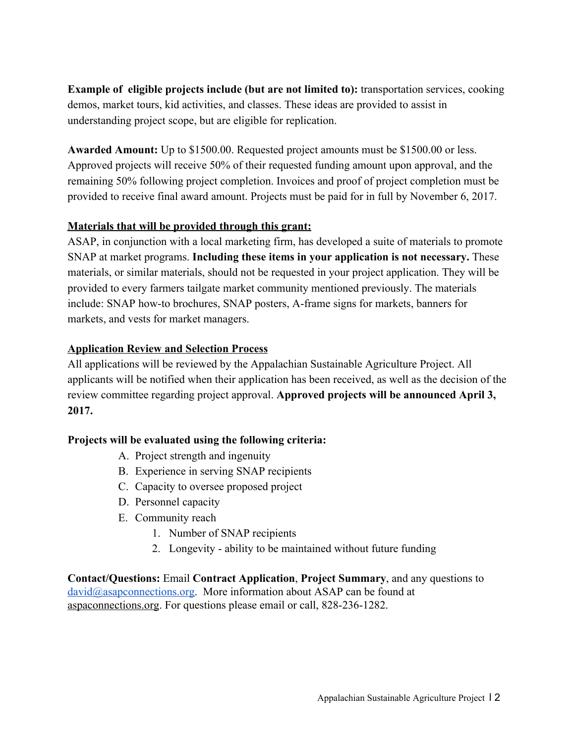**Example of eligible projects include (but are not limited to):** transportation services, cooking demos, market tours, kid activities, and classes. These ideas are provided to assist in understanding project scope, but are eligible for replication.

**Awarded Amount:** Up to \$1500.00. Requested project amounts must be \$1500.00 or less. Approved projects will receive 50% of their requested funding amount upon approval, and the remaining 50% following project completion. Invoices and proof of project completion must be provided to receive final award amount. Projects must be paid for in full by November 6, 2017.

### **Materials that will be provided through this grant:**

ASAP, in conjunction with a local marketing firm, has developed a suite of materials to promote SNAP at market programs. **Including these items in your application is not necessary.** These materials, or similar materials, should not be requested in your project application. They will be provided to every farmers tailgate market community mentioned previously. The materials include: SNAP how-to brochures, SNAP posters, A-frame signs for markets, banners for markets, and vests for market managers.

### **Application Review and Selection Process**

All applications will be reviewed by the Appalachian Sustainable Agriculture Project. All applicants will be notified when their application has been received, as well as the decision of the review committee regarding project approval. **Approved projects will be announced April 3, 2017.**

### **Projects will be evaluated using the following criteria:**

- A. Project strength and ingenuity
- B. Experience in serving SNAP recipients
- C. Capacity to oversee proposed project
- D. Personnel capacity
- E. Community reach
	- 1. Number of SNAP recipients
	- 2. Longevity ability to be maintained without future funding

**Contact/Questions:** Email **Contract Application**, **Project Summary**, and any questions to [david@asapconnections.org.](mailto:david@asapconnections.org) More information about ASAP can be found at [aspaconnections.org.](http://www.aspaconnections.org/) For questions please email or call, 828-236-1282.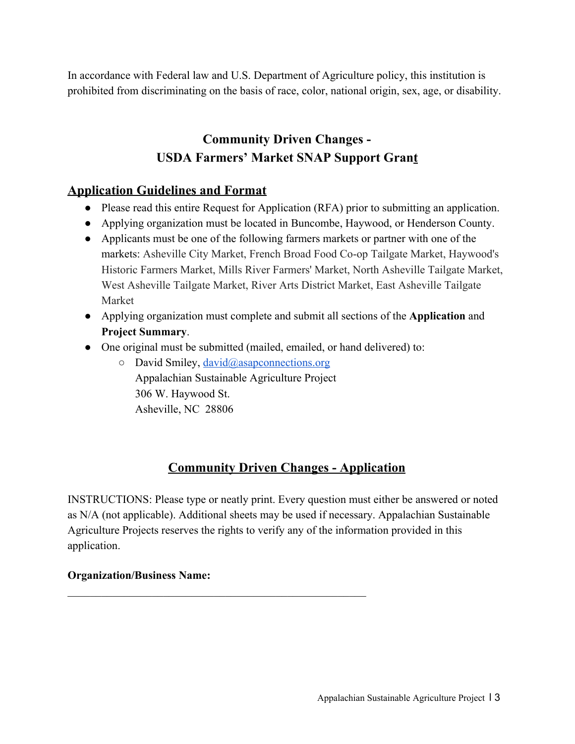In accordance with Federal law and U.S. Department of Agriculture policy, this institution is prohibited from discriminating on the basis of race, color, national origin, sex, age, or disability.

# **Community Driven Changes - USDA Farmers' Market SNAP Support Grant**

## **Application Guidelines and Format**

- Please read this entire Request for Application (RFA) prior to submitting an application.
- Applying organization must be located in Buncombe, Haywood, or Henderson County.
- Applicants must be one of the following farmers markets or partner with one of the markets: Asheville City Market, French Broad Food Co-op Tailgate Market, Haywood's Historic Farmers Market, Mills River Farmers' Market, North Asheville Tailgate Market, West Asheville Tailgate Market, River Arts District Market, East Asheville Tailgate Market
- Applying organization must complete and submit all sections of the **Application** and **Project Summary**.
- One original must be submitted (mailed, emailed, or hand delivered) to:
	- $\circ$  David Smiley, [david@asapconnections.org](mailto:david@asapconnections.org) Appalachian Sustainable Agriculture Project 306 W. Haywood St. Asheville, NC 28806

 $\mathcal{L}_\text{max}$  , and the contract of the contract of the contract of the contract of the contract of the contract of the contract of the contract of the contract of the contract of the contract of the contract of the contr

# **Community Driven Changes - Application**

INSTRUCTIONS: Please type or neatly print. Every question must either be answered or noted as N/A (not applicable). Additional sheets may be used if necessary. Appalachian Sustainable Agriculture Projects reserves the rights to verify any of the information provided in this application.

### **Organization/Business Name:**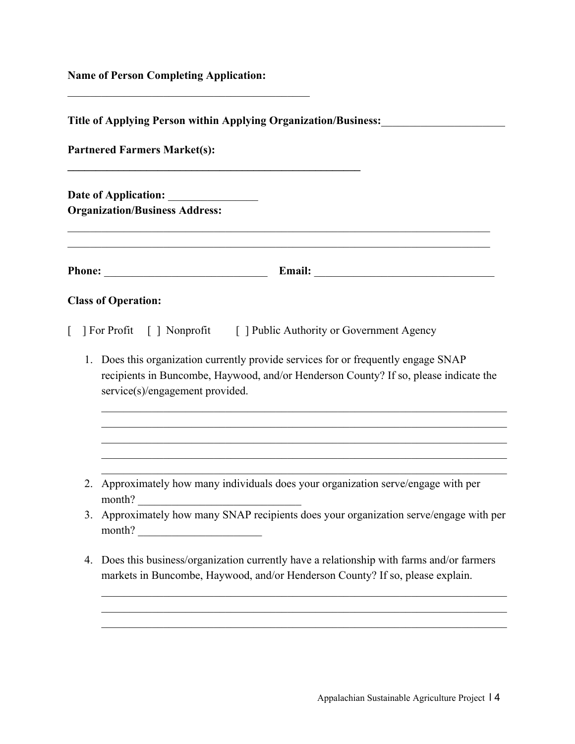**Name of Person Completing Application:**

 $\mathcal{L}_\text{max}$  , and the set of the set of the set of the set of the set of the set of the set of the set of the set of the set of the set of the set of the set of the set of the set of the set of the set of the set of the

| Title of Applying Person within Applying Organization/Business:<br><b>Partnered Farmers Market(s):</b><br><b>Organization/Business Address:</b> |                                                                                                                                                                                                                                                                                      |
|-------------------------------------------------------------------------------------------------------------------------------------------------|--------------------------------------------------------------------------------------------------------------------------------------------------------------------------------------------------------------------------------------------------------------------------------------|
|                                                                                                                                                 |                                                                                                                                                                                                                                                                                      |
|                                                                                                                                                 | <b>Class of Operation:</b>                                                                                                                                                                                                                                                           |
| 1.                                                                                                                                              | [ ] For Profit [ ] Nonprofit [ ] Public Authority or Government Agency<br>Does this organization currently provide services for or frequently engage SNAP<br>recipients in Buncombe, Haywood, and/or Henderson County? If so, please indicate the<br>service(s)/engagement provided. |
|                                                                                                                                                 | 2. Approximately how many individuals does your organization serve/engage with per<br>month?                                                                                                                                                                                         |
|                                                                                                                                                 | 3. Approximately how many SNAP recipients does your organization serve/engage with per<br>month?                                                                                                                                                                                     |
| 4.                                                                                                                                              | Does this business/organization currently have a relationship with farms and/or farmers<br>markets in Buncombe, Haywood, and/or Henderson County? If so, please explain.                                                                                                             |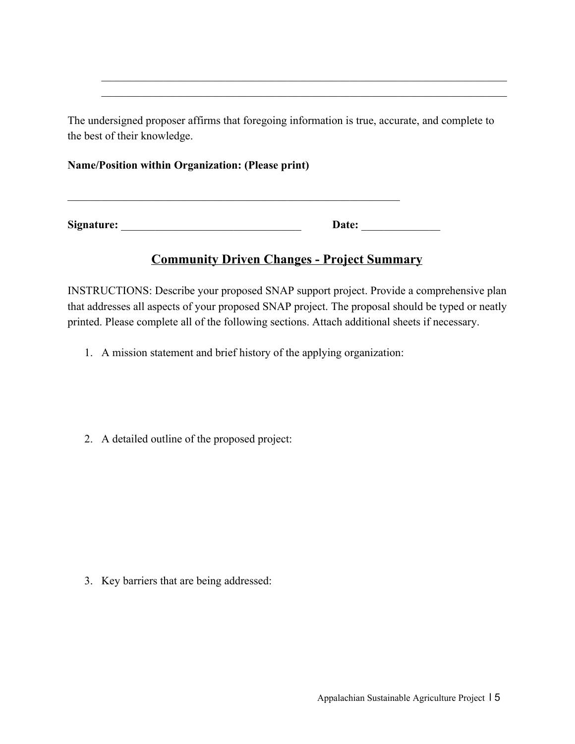The undersigned proposer affirms that foregoing information is true, accurate, and complete to the best of their knowledge.

 $\mathcal{L}_\text{max}$  , and the contribution of the contribution of the contribution of the contribution of the contribution of the contribution of the contribution of the contribution of the contribution of the contribution of t  $\mathcal{L}_\text{max}$  , and the contribution of the contribution of the contribution of the contribution of the contribution of the contribution of the contribution of the contribution of the contribution of the contribution of t

#### **Name/Position within Organization: (Please print)**

**Signature:** \_\_\_\_\_\_\_\_\_\_\_\_\_\_\_\_\_\_\_\_\_\_\_\_\_\_\_\_\_\_\_\_ **Date:** \_\_\_\_\_\_\_\_\_\_\_\_\_\_

 $\mathcal{L}_\text{max}$  , and the contribution of the contribution of the contribution of the contribution of the contribution of the contribution of the contribution of the contribution of the contribution of the contribution of t

### **Community Driven Changes - Project Summary**

INSTRUCTIONS: Describe your proposed SNAP support project. Provide a comprehensive plan that addresses all aspects of your proposed SNAP project. The proposal should be typed or neatly printed. Please complete all of the following sections. Attach additional sheets if necessary.

- 1. A mission statement and brief history of the applying organization:
- 2. A detailed outline of the proposed project:

3. Key barriers that are being addressed: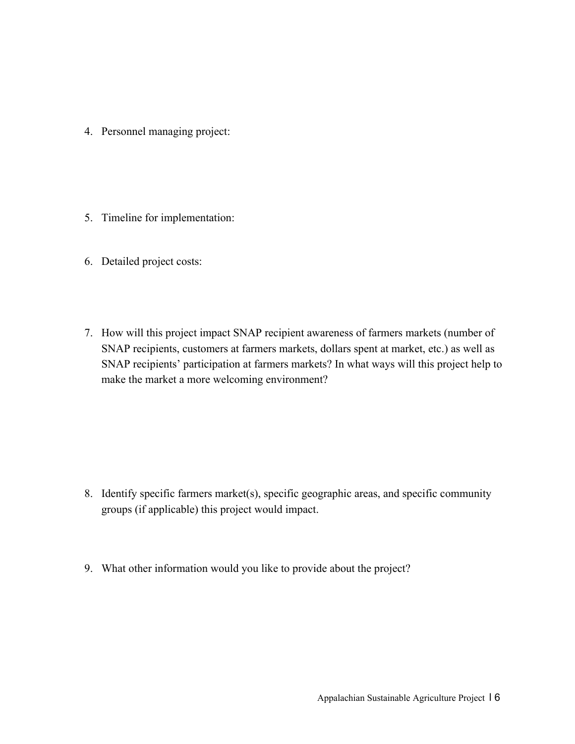- 4. Personnel managing project:
- 5. Timeline for implementation:
- 6. Detailed project costs:
- 7. How will this project impact SNAP recipient awareness of farmers markets (number of SNAP recipients, customers at farmers markets, dollars spent at market, etc.) as well as SNAP recipients' participation at farmers markets? In what ways will this project help to make the market a more welcoming environment?

- 8. Identify specific farmers market(s), specific geographic areas, and specific community groups (if applicable) this project would impact.
- 9. What other information would you like to provide about the project?